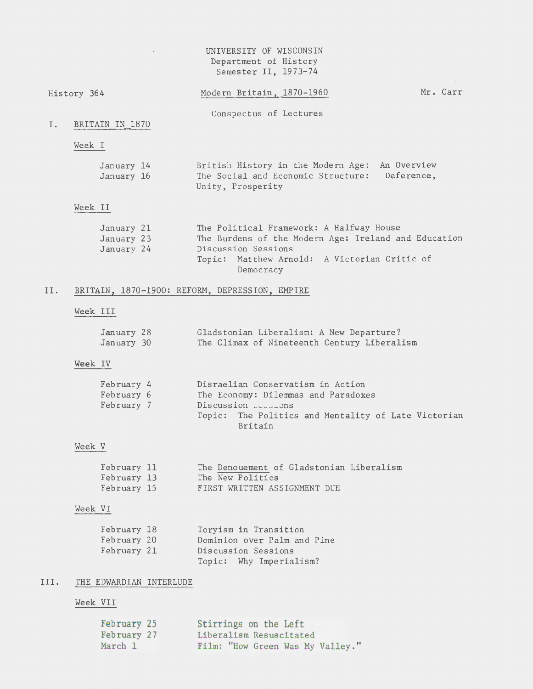# UNIVERSITY OF WISCONSIN Department of History Semester II, 1973-74

 $\overline{\phantom{a}}$ 

|     | History 364                            | Modern Britain, 1870-1960                                                                                                                                                            | Mr. Carr |
|-----|----------------------------------------|--------------------------------------------------------------------------------------------------------------------------------------------------------------------------------------|----------|
| I.  | BRITAIN IN 1870                        | Conspectus of Lectures                                                                                                                                                               |          |
|     | Week I                                 |                                                                                                                                                                                      |          |
|     | January 14<br>January 16               | British History in the Modern Age: An Overview<br>The Social and Economic Structure: Deference,<br>Unity, Prosperity                                                                 |          |
|     | Week II                                |                                                                                                                                                                                      |          |
|     | January 21<br>January 23<br>January 24 | The Political Framework: A Halfway House<br>The Burdens of the Modern Age: Ireland and Education<br>Discussion Sessions<br>Topic: Matthew Arnold: A Victorian Critic of<br>Democracy |          |
| II. |                                        | BRITAIN, 1870-1900: REFORM, DEPRESSION, EMPIRE                                                                                                                                       |          |
|     | Week III                               |                                                                                                                                                                                      |          |

| January 28 | Gladstonian Liberalism: A New Departure?    |
|------------|---------------------------------------------|
| January 30 | The Climax of Nineteenth Century Liberalism |

# Week IV

| February 4 | Disraelian Conservatism in Action                   |  |  |  |  |
|------------|-----------------------------------------------------|--|--|--|--|
| February 6 | The Economy: Dilemmas and Paradoxes                 |  |  |  |  |
| February 7 | Discussion $\cup$                                   |  |  |  |  |
|            | Topic: The Politics and Mentality of Late Victorian |  |  |  |  |
|            | Britain                                             |  |  |  |  |

# Week v

| February 11 |  |                  |                              | The Denouement of Gladstonian Liberalism |
|-------------|--|------------------|------------------------------|------------------------------------------|
| February 13 |  | The New Politics |                              |                                          |
| February 15 |  |                  | FIRST WRITTEN ASSIGNMENT DUE |                                          |

# Week VI

| February 18 | Toryism in Transition       |
|-------------|-----------------------------|
| February 20 | Dominion over Palm and Pine |
| February 21 | Discussion Sessions         |
|             | Topic: Why Imperialism?     |

# III. THE EDWARDIAN INTERLUDE

# Week VII

| February 25 | Stirrings on the Left            |
|-------------|----------------------------------|
| February 27 | Liberalism Resuscitated          |
| March 1     | Film: "How Green Was My Valley." |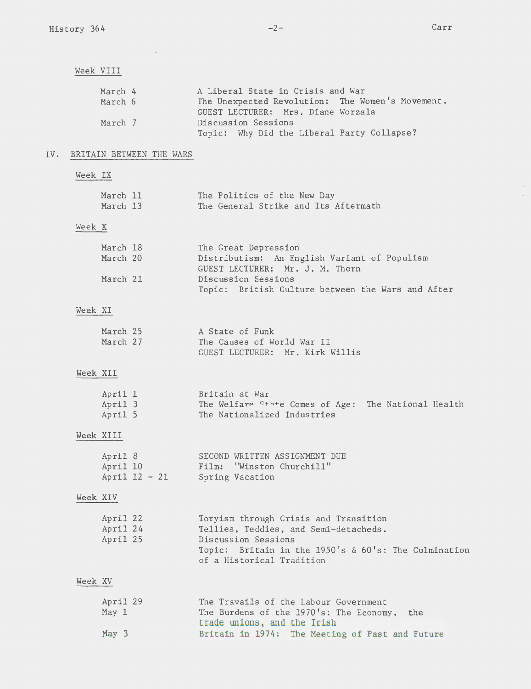IV.

 $\bar{\beta}$  $\bar{\mathcal{A}}$ 

| Week VIII |                                  |                          |                                                                                                                                                                                               |
|-----------|----------------------------------|--------------------------|-----------------------------------------------------------------------------------------------------------------------------------------------------------------------------------------------|
|           | March 4<br>March 6               |                          | A Liberal State in Crisis and War<br>The Unexpected Revolution: The Women's Movement.<br>GUEST LECTURER: Mrs. Diane Worzala                                                                   |
|           | March 7                          |                          | Discussion Sessions<br>Topic: Why Did the Liberal Party Collapse?                                                                                                                             |
|           |                                  | BRITAIN BETWEEN THE WARS |                                                                                                                                                                                               |
| Week IX   |                                  |                          |                                                                                                                                                                                               |
|           |                                  | March 11<br>March 13     | The Politics of the New Day<br>The General Strike and Its Aftermath                                                                                                                           |
| Week X    |                                  |                          |                                                                                                                                                                                               |
|           | March 18<br>March 20             |                          | The Great Depression<br>Distributism: An English Variant of Populism<br>GUEST LECTURER: Mr. J. M. Thorn                                                                                       |
|           | March 21                         |                          | Discussion Sessions<br>Topic: British Culture between the Wars and After                                                                                                                      |
| Week XI   |                                  |                          |                                                                                                                                                                                               |
|           | March 25<br>March 27             |                          | A State of Funk<br>The Causes of World War II<br>GUEST LECTURER: Mr. Kirk Willis                                                                                                              |
| Week XII  |                                  |                          |                                                                                                                                                                                               |
|           | April 1<br>April 3<br>April 5    |                          | Britain at War<br>The Welfare State Comes of Age: The National Health<br>The Nationalized Industries                                                                                          |
|           | Week XIII                        |                          |                                                                                                                                                                                               |
|           | April 8<br>April 10              | April $12 - 21$          | SECOND WRITTEN ASSIGNMENT DUE<br>"Winston Churchill"<br>Film:<br>Spring Vacation                                                                                                              |
| Week XIV  |                                  |                          |                                                                                                                                                                                               |
|           | April 22<br>April 24<br>April 25 |                          | Toryism through Crisis and Transition<br>Tellies, Teddies, and Semi-detacheds.<br>Discussion Sessions<br>Topic: Britain in the 1950's $\&$ 60's: The Culmination<br>of a Historical Tradition |
| Week XV   |                                  |                          |                                                                                                                                                                                               |
|           | April 29<br>May 1                |                          | The Travails of the Labour Government<br>The Burdens of the 1970's: The Economy,<br>the<br>trade unions, and the Irish                                                                        |
|           | May 3                            |                          | Britain in 1974: The Meeting of Past and Future                                                                                                                                               |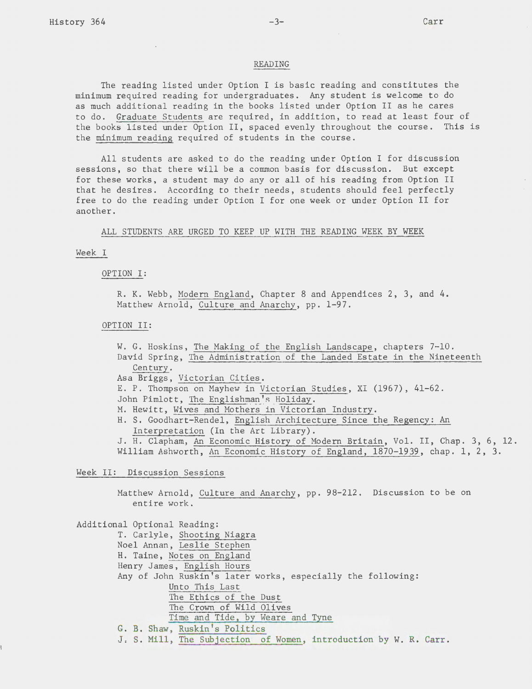#### READING

The reading listed under Option I is basic reading and constitutes the minimum required reading for undergraduates. Any student is welcome to do as much additional reading in the books listed under Option II as he cares to do. Graduate Students are required, in addition, to read at least four of the books listed under Option II, spaced evenly throughout the course. This is the minimum reading required of students in the course.

All students are asked to do the reading under Option I for discussion sessions, so that there will be a common basis for discussion. But except for these works, a student may do any or all of his reading from Option II that he desires. According to their needs, students should feel perfectly free to do the reading under Option I for one week or under Option II for another.

ALL STUDENTS ARE URGED TO KEEP UP WITH THE READING WEEK BY WEEK

#### Week I

OPTION I:

R. K. Webb, Modern England, Chapter 8 and Appendices 2, 3, and 4. Matthew Arnold, Culture and Anarchy, pp. 1-97.

#### OPTION II:

W. G. Hoskins, The Making of the English Landscape, chapters 7-10. David Spring, The Administration of the Landed Estate in the Nineteenth Century. Asa Briggs, Victorian Cities. E. P. Thompson on Mayhew in Victorian Studies, XI (1967), 41-62. John Pimlott, The Englishman's Holiday. M. Hewitt, Wives and Mothers in Victorian Industry. H. S. Goodhart-Rendel, English Architecture Since the Regency: An Interpretation (In the Art Library). J. H. Clapham, An Economic History of Modern Britain, Vol. II, Chap. 3, 6, 12. William Ashworth, An Economic History of England, 1870-1939, chap. 1, 2, 3.

Week II: Discussion Sessions

Matthew Arnold, Culture and Anarchy, pp. 98-212. Discussion to be on entire work.

Additional Optional Reading: T. Carlyle, Shooting Niagra Noel Annan, Leslie Stephen H. Taine, Notes on England Henry James, English Hours Any of John Ruskin's later works, especially the following: Unto This Last The Ethics of the Dust The Crown of Wild Olives Time and Tide, by Weare and Tyne G. B. Shaw, Ruskin's Politics J. S. Mill, The Subjection of Women, introduction by W. R. Carr.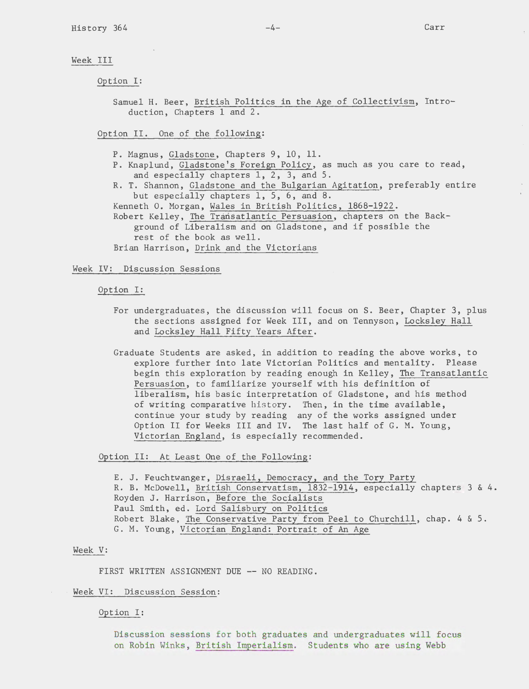#### Week III

Option I:

Samuel H. Beer, British Politics in the Age of Collectivism, Introduction, Chapters 1 and 2.

Option II. One of the following:

- P. Magnus, Gladstone, Chapters 9, 10, 11.
- P. Knaplund, Gladstone's Foreign Policy, as much as you care to read, and especially chapters 1, 2, 3, and 5.
- R. T. Shannon, Gladstone and the Bulgarian Agitation, preferably entire but especially chapters 1, 5, 6, and 8.

Kenneth 0. Morgan, Wales in British Politics, 1868-1922. Robert Kelley, The Transatlantic Persuasion, chapters on the Background of Liberalism and on Gladstone, and if possible the

rest of the book as well. Brian Harrison, Drink and the Victorians

Week IV: Discussion Sessions

Option I:

- For undergraduates, the discussion will focus on S. Beer, Chapter 3, plus the sections assigned for Week III, and on Tennyson, Locksley Hall and Locksley Hall Fifty Years After.
- Graduate Students are asked, in addition to reading the above works, to explore further into late Victorian Politics and mentality. Please begin this exploration by reading enough in Kelley, The Transatlantic Persuasion, to familiarize yourself with his definition of liberalism, his basic interpretation of Gladstone, and his method of writing comparative history. Then, in the time available, continue your study by reading any of the works assigned under Option II for Weeks III and IV. The last half of G. M. Young, Victorian England, is especially recommended.

Option II: At Least One of the Following:

E. J. Feuchtwanger, Disraeli, Democracy, and the Tory Party R. B. McDowell, British Conservatism, 1832-1914, especially chapters 3 & 4. Royden J. Harrison, Before the Socialists Paul Smith, ed. Lord Salisbury on Politics Robert Blake, The Conservative Party from Peel to Churchill, chap. 4 & 5. G. M. Young, Victorian England: Portrait of An Age

### Week V:

FIRST WRITTEN ASSIGNMENT DUE -- NO READING.

Week VI: Discussion Session:

Option I:

Discussion sessions for both graduates and undergraduates will focus on Robin Winks, British Imperialism. Students who are using Webb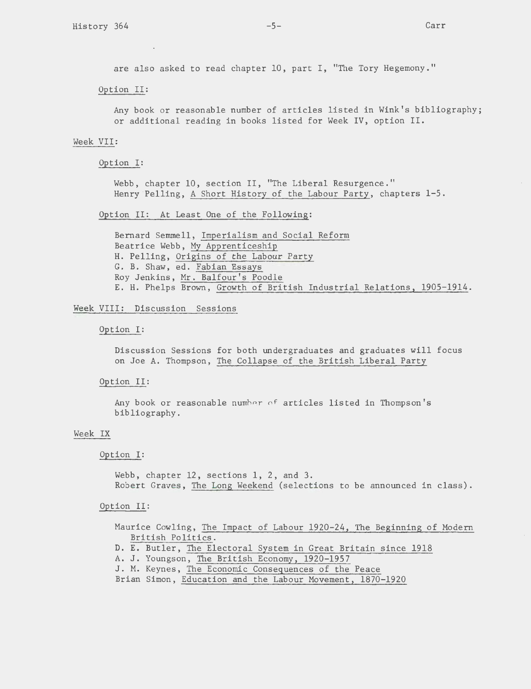are also asked to read chapter 10, part I, "The Tory Hegemony."

Option II:

Any book or reasonable number of articles listed in Wink's bibliography; or additional reading in books listed for Week IV, option II.

## Week VII:

Option I:

Webb, chapter 10, section II, "The Liberal Resurgence." Henry Pelling, A Short History of the Labour Party, chapters 1-5.

## Option II: At Least One of the Following:

Bernard Semmell, Imperialism and Social Reform Beatrice Webb, My Apprenticeship H. Pelling, Origins of the Labour Party G. B. Shaw, ed. Fabian Essays Roy Jenkins, Mr. Balfour's Poodle E. H. Phelps Brown, Growth of British Industrial Relations, 1905-1914.

#### Week VIII: Discussion Sessions

#### Option I:

Discussion Sessions for both undergraduates and graduates will focus on Joe A. Thompson, The Collapse of the British Liberal Party

#### Option II:

Any book or reasonable number of articles listed in Thompson's bibliography.

#### Week IX

#### Option I:

Webb, chapter 12, sections 1, 2, and 3. Robert Graves, The Long Weekend (selections to be announced in class).

#### Option II:

Maurice Cowling, The Impact of Labour 1920-24, The Beginning of Modern British Politics.

- D. E. Butler, The Electoral System in Great Britain since 1918
- A. J. Youngson, The British Economy, 1920-1957
- J. M. Keynes, The Economic Consequences of the Peace
- Brian Simon, Education and the Labour Movement, 1870-1920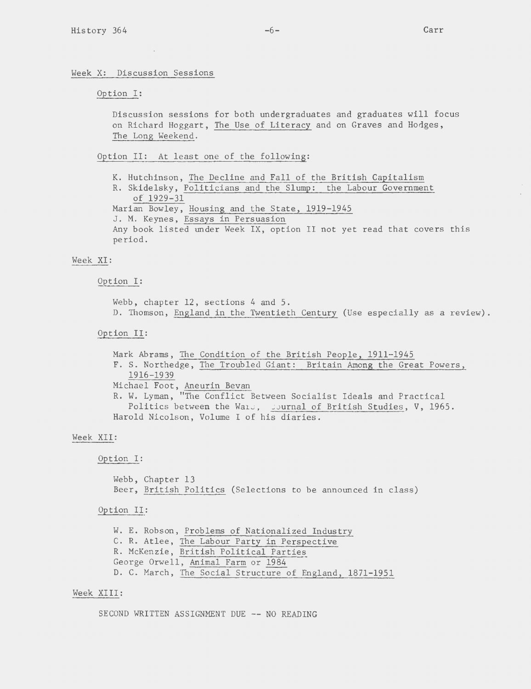## Option I:

Discussion sessions for both undergraduates and graduates will focus on Richard Hoggart, The Use of Literacy and on Graves and Hodges, The Long Weekend.

Option II: At least one of the following:

K. Hutchinson, The Decline and Fall of the British Capitalism R. Skidelsky, Politicians and the Slump: the Labour Government of 1929-31 Marian Bowley, Housing and the State, 1919-1945 J. M. Keynes, Essays in Persuasion Any book listed under Week IX, option II not yet read that covers this period.

## Week XI:

## Option I:

Webb, chapter 12, sections 4 and 5. D. Thomson, England in the Twentieth Century (Use especially as a review).

## Option II:

Mark Abrams, The Condition of the British People, 1911-1945 F. S. Northedge, The Troubled Giant: Britain Among the Great Powers, 1916-1939 Michael Foot, Aneurin Bevan R. W. Lyman, "The Conflict Between Socialist Ideals and Practical Politics between the Wars, sournal of British Studies, V, 1965. Harold Nicolson, Volume I of his diaries.

### Week XII:

## Option I:

Webb, Chapter 13 Beer, British Politics (Selections to be announced in class)

## Option II:

W. E. Robson, Problems of Nationalized Industry C. R. Atlee, The Labour Party in Perspective R. McKenzie, British Political Parties George Orwell, Animal Farm or 1984 D. C. March, The Social Structure of England, 1871-1951

## Week XIII:

SECOND WRITTEN ASSIGNMENT DUE -- NO READING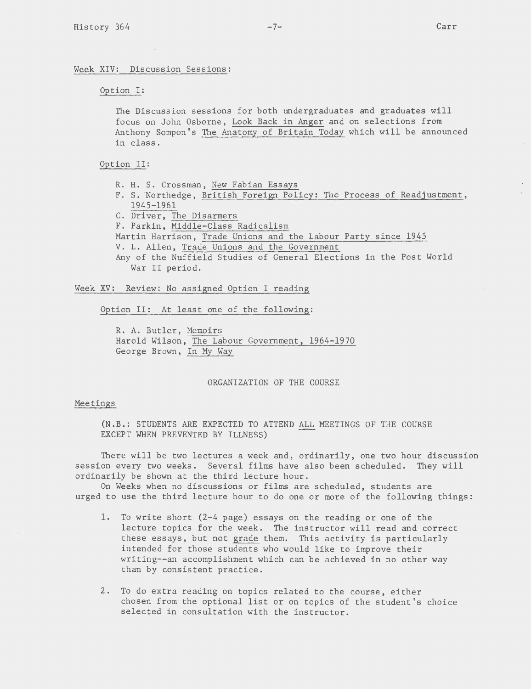Week XIV: Discussion Sessions:

Option I:

The Discussion sessions for both undergraduates and graduates will focus on John Osborne, Look Back in Anger and on selections from Anthony Sompon's The Anatomy of Britain Today which will be announced in class.

Option II:

- R. H. S. Crossman, New Fabian Essays
- F. S. Northedge, British Foreign Policy: The Process of Readjustment, 1945-1961
- C. Driver, The Disarmers
- F. Parkin, Middle-Class Radicalism
- Martin Harrison, Trade Unions and the Labour Party since 1945
- V. L. Allen, Trade Unions and the Government
- Any of the Nuffield Studies of General Elections in the Post World War II period.

Week XV: Review: No assigned Option I reading

Option II: At least one of the following:

R. A. Butler, Memoirs Harold Wilson, The Labour Government, 1964-1970 George Brown, In My Way

## ORGANIZATION OF THE COURSE

#### Meetings

(N.B.: STUDENTS ARE EXPECTED TO ATTEND ALL MEETINGS OF THE COURSE EXCEPT WHEN PREVENTED BY ILLNESS)

There will be two lectures a week and, ordinarily, one two hour discussion session every two weeks. Several films have also been scheduled. They will ordinarily be shown at the third lecture hour.

On Weeks when no discussions or films are scheduled, students are urged to use the third lecture hour to do one or more of the following things:

- 1. To write short (2-4 page) essays on the reading or one of the lecture topics for the week. The instructor will read and correct these essays, but not grade them. This activity is particularly intended for those students who would like to improve their writing--an accomplishment which can be achieved in no other way than by consistent practice.
- 2. To do extra reading on topics related to the course, either chosen from the optional list or on topics of the student's choice selected in consultation with the instructor.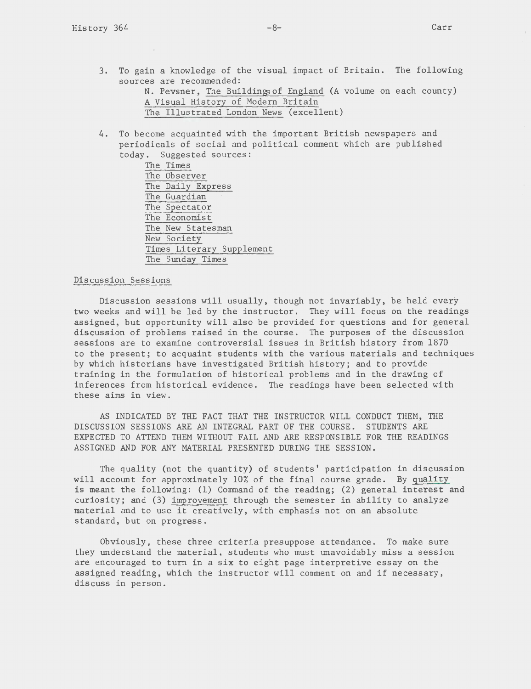$\bar{\rm T}$ 

3. To gain a knowledge of the visual impact of Britain. The following sources are recommended:

N. Pevsner, The Buildings of England (A volume on each county) A Visual History of Modern Britain The Illustrated London News (excellent)

4. To become acquainted with the important British newspapers and periodicals of social and political comment which are published today. Suggested sources:

> The Times The Observer The Daily Express The Guardian The Spectator The Economist The New Statesman New Society Times Literary Supplement The Sunday Times

## Discussion Sessions

Discussion sessions will usually, though not invariably, be held every two weeks and will be led by the instructor. They will focus on the readings assigned, but opportunity will also be provided for questions and for general discussion of problems raised in the course. The purposes of the discussion sessions are to examine controversial issues in British history from 1870 to the present; to acquaint students with the various materials and techniques by which historians have investigated British history; and to provide training in the formulation of historical problems and in the drawing of inferences from historical evidence. The readings have been selected with these aims in view.

AS INDICATED BY THE FACT THAT THE INSTRUCTOR WILL CONDUCT THEM, THE DISCUSSION SESSIONS ARE AN INTEGRAL PART OF THE COURSE. STUDENTS ARE EXPECTED TO ATTEND THEM WITHOUT FAIL AND ARE RESPONSIBLE FOR THE READINGS ASSIGNED AND FOR ANY MATERIAL PRESENTED DURING THE SESSION.

The quality (not the quantity) of students' participation in discussion will account for approximately 10% of the final course grade. By quality is meant the following: (1) Command of the reading; (2) general interest and curiosity; and (3) improvement through the semester in ability to analyze material and to use it creatively, with emphasis not on an absolute standard, but on progress.

Obviously, these three criteria presuppose attendance. To make sure they understand the material, students who must unavoidably miss a session are encouraged to turn in a six to eight page interpretive essay on the assigned reading, which the instructor will comment on and if necessary, discuss in person.